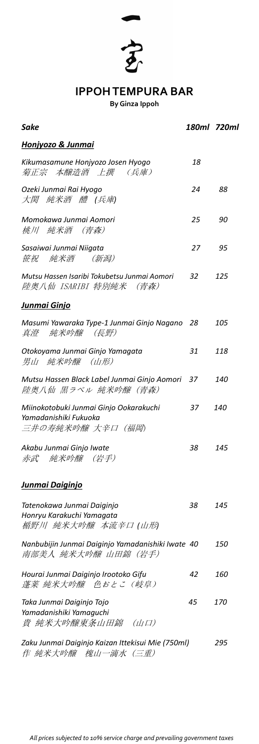*Sake 180ml 720ml Honjyozo & Junmai Kikumasamune Honjyozo Josen Hyogo 18*  菊正宗 本醸造酒 上撰 (兵庫) *Ozeki Junmai Rai Hyogo 24 88* 大関 純米酒 醴 *(*兵庫*) Momokawa Junmai Aomori 25 90* 桃川 純米酒 (青森) *Sasaiwai Junmai Niigata 27 95* 笹祝 純米酒 (新潟) *Mutsu Hassen Isaribi Tokubetsu Junmai Aomori 32 125* 陸奥八仙 ISARIBI 特別純米 (青森)

## *Junmai Ginjo*

*Masumi Yawaraka Type-1 Junmai Ginjo Nagano 28 105*  真澄 純米吟醸 (長野)

| Otokoyama Junmai Ginjo Yamagata<br>男山 純米吟醸 (山形)                                     | 31 | 118        |
|-------------------------------------------------------------------------------------|----|------------|
| Mutsu Hassen Black Label Junmai Ginjo Aomori 37<br> 陸奥八仙 黒ラベル 純米吟醸(青森)              |    | <i>140</i> |
| Miinokotobuki Junmai Ginjo Ookarakuchi<br>Yamadanishiki Fukuoka<br>三井の寿純米吟醸 大辛口(福岡) | 37 | <i>140</i> |
| Akabu Junmai Ginjo Iwate<br>赤武 純米吟醸 (岩手)                                            | 38 | 145        |
| Junmai Daiginjo                                                                     |    |            |
| Tatenokawa Junmai Daiginjo<br>Honryu Karakuchi Yamagata<br>楯野川 純米大吟醸 本流辛口 (山形)      | 38 | 145        |
| Nanbubijin Junmai Daiginjo Yamadanishiki Iwate 40<br>南部美人 純米大吟醸 山田錦(岩手)             |    | <i>150</i> |
| Hourai Junmai Daiginjo Irootoko Gifu<br>蓬莱 純米大吟醸 色おとこ(岐阜)                           | 42 | <i>160</i> |
| Taka Junmai Daiginjo Tojo<br>Yamadanishiki Yamaguchi<br>貴 純米大吟醸東条山田錦 (山口)           | 45 | <i>170</i> |
| Zaku Junmai Daiginjo Kaizan Ittekisui Mie (750ml)<br>作 純米大吟醸 槐山一滴水(三重)              |    | 295        |

#### *All prices subjected to 10% service charge and prevailing government taxes*



# **IPPOH TEMPURA BAR**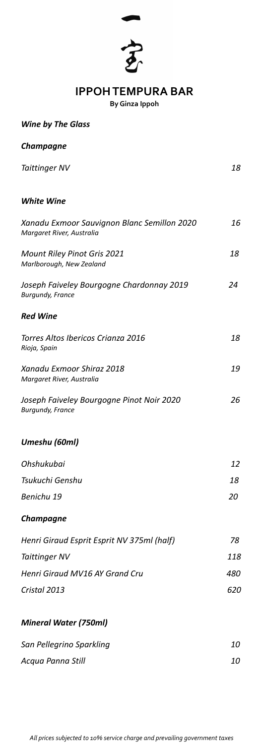*Wine by The Glass*

*Champagne*

*Taittinger NV 18*

#### *White Wine*

| <b>Red Wine</b>                                                          |    |
|--------------------------------------------------------------------------|----|
| Joseph Faiveley Bourgogne Chardonnay 2019<br><b>Burgundy, France</b>     | 24 |
| <b>Mount Riley Pinot Gris 2021</b><br>Marlborough, New Zealand           | 18 |
| Xanadu Exmoor Sauvignon Blanc Semillon 2020<br>Margaret River, Australia | 16 |

*Torres Altos Ibericos Crianza 2016 18*

| Xanadu Exmoor Shiraz 2018<br>Margaret River, Australia<br>Joseph Faiveley Bourgogne Pinot Noir 2020<br><b>Burgundy, France</b><br>Tsukuchi Genshu<br>Benichu 19<br><b>Champagne</b>                                    | Rioja, Spain |            |
|------------------------------------------------------------------------------------------------------------------------------------------------------------------------------------------------------------------------|--------------|------------|
|                                                                                                                                                                                                                        |              | <i>19</i>  |
| Umeshu (60ml)<br>Ohshukubai<br>Henri Giraud Esprit Esprit NV 375ml (half)<br><b>Taittinger NV</b><br><b>Henri Giraud MV16 AY Grand Cru</b><br>Cristal 2013<br><b>Mineral Water (750ml)</b><br>San Pellegrino Sparkling |              | 26         |
|                                                                                                                                                                                                                        |              |            |
|                                                                                                                                                                                                                        |              | 12         |
|                                                                                                                                                                                                                        |              | <i>18</i>  |
|                                                                                                                                                                                                                        |              | <i>20</i>  |
|                                                                                                                                                                                                                        |              |            |
|                                                                                                                                                                                                                        |              | 78         |
|                                                                                                                                                                                                                        |              | 118        |
|                                                                                                                                                                                                                        |              | <i>480</i> |
|                                                                                                                                                                                                                        |              | <i>620</i> |
|                                                                                                                                                                                                                        |              |            |
|                                                                                                                                                                                                                        |              | <i>10</i>  |

*Acqua Panna Still 10*

### *All prices subjected to 10% service charge and prevailing government taxes*





# **IPPOH TEMPURA BAR**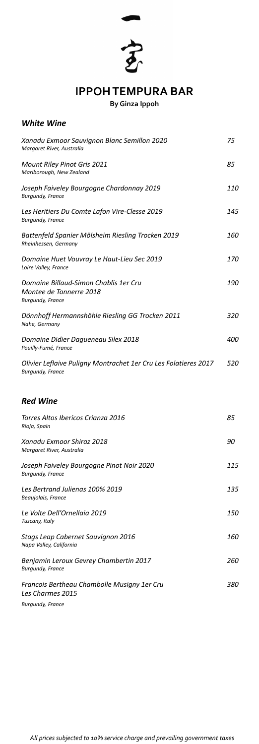#### *White Wine*

| Xanadu Exmoor Sauvignon Blanc Semillon 2020<br>Margaret River, Australia                    | 75         |
|---------------------------------------------------------------------------------------------|------------|
| <b>Mount Riley Pinot Gris 2021</b><br>Marlborough, New Zealand                              | 85         |
| Joseph Faiveley Bourgogne Chardonnay 2019<br><b>Burgundy, France</b>                        | <i>110</i> |
| Les Heritiers Du Comte Lafon Vire-Clesse 2019<br><b>Burgundy, France</b>                    | 145        |
| Battenfeld Spanier Mölsheim Riesling Trocken 2019<br>Rheinhessen, Germany                   | <i>160</i> |
| Domaine Huet Vouvray Le Haut-Lieu Sec 2019<br>Loire Valley, France                          | <i>170</i> |
| Domaine Billaud-Simon Chablis 1er Cru<br>Montee de Tonnerre 2018<br><b>Burgundy, France</b> | <i>190</i> |
| Dönnhoff Hermannshöhle Riesling GG Trocken 2011<br>Nahe, Germany                            | 320        |
| Domaine Didier Dagueneau Silex 2018                                                         | <i>400</i> |

*Pouilly-Fumé, France*

*Olivier Leflaive Puligny Montrachet 1er Cru Les Folatieres 2017 520 Burgundy, France*

### *Red Wine*

| Torres Altos Ibericos Crianza 2016<br>Rioja, Spain                     | 85         |
|------------------------------------------------------------------------|------------|
| Xanadu Exmoor Shiraz 2018<br>Margaret River, Australia                 | 90         |
| Joseph Faiveley Bourgogne Pinot Noir 2020<br><b>Burgundy, France</b>   | 115        |
| Les Bertrand Julienas 100% 2019<br>Beaujolais, France                  | 135        |
| Le Volte Dell'Ornellaia 2019<br>Tuscany, Italy                         | 150        |
| Stags Leap Cabernet Sauvignon 2016<br>Napa Valley, California          | <i>160</i> |
| Benjamin Leroux Gevrey Chambertin 2017<br><b>Burgundy, France</b>      | <i>260</i> |
| Francois Bertheau Chambolle Musigny 1er Cru<br><b>Les Charmes 2015</b> | 380        |
| <b>Burgundy, France</b>                                                |            |

### *All prices subjected to 10% service charge and prevailing government taxes*



**IPPOH TEMPURA BAR**